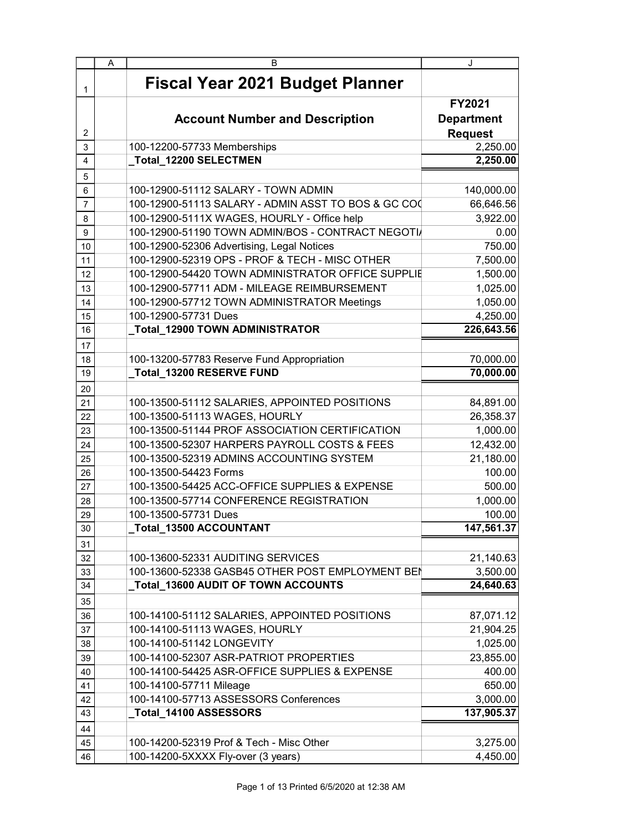|                 | A | B                                                   | J                 |
|-----------------|---|-----------------------------------------------------|-------------------|
| 1               |   | <b>Fiscal Year 2021 Budget Planner</b>              |                   |
|                 |   |                                                     | FY2021            |
|                 |   | <b>Account Number and Description</b>               | <b>Department</b> |
| 2               |   |                                                     | <b>Request</b>    |
| 3               |   | 100-12200-57733 Memberships                         | 2,250.00          |
| 4               |   | _Total_12200 SELECTMEN                              | 2,250.00          |
| 5               |   |                                                     |                   |
| 6               |   | 100-12900-51112 SALARY - TOWN ADMIN                 | 140,000.00        |
| 7               |   | 100-12900-51113 SALARY - ADMIN ASST TO BOS & GC COO | 66,646.56         |
| 8               |   | 100-12900-5111X WAGES, HOURLY - Office help         | 3,922.00          |
| 9               |   | 100-12900-51190 TOWN ADMIN/BOS - CONTRACT NEGOTI/   | 0.00              |
| 10              |   | 100-12900-52306 Advertising, Legal Notices          | 750.00            |
| 11              |   | 100-12900-52319 OPS - PROF & TECH - MISC OTHER      | 7,500.00          |
| 12              |   | 100-12900-54420 TOWN ADMINISTRATOR OFFICE SUPPLIE   | 1,500.00          |
| 13              |   | 100-12900-57711 ADM - MILEAGE REIMBURSEMENT         | 1,025.00          |
| 14              |   | 100-12900-57712 TOWN ADMINISTRATOR Meetings         | 1,050.00          |
| 15              |   | 100-12900-57731 Dues                                | 4,250.00          |
| 16              |   | _Total_12900 TOWN ADMINISTRATOR                     | 226,643.56        |
| 17              |   |                                                     |                   |
| 18              |   | 100-13200-57783 Reserve Fund Appropriation          | 70,000.00         |
| 19              |   | Total_13200 RESERVE FUND                            | 70,000.00         |
| 20              |   |                                                     |                   |
| 21              |   | 100-13500-51112 SALARIES, APPOINTED POSITIONS       | 84,891.00         |
| 22              |   | 100-13500-51113 WAGES, HOURLY                       | 26,358.37         |
| 23              |   | 100-13500-51144 PROF ASSOCIATION CERTIFICATION      | 1,000.00          |
| 24              |   | 100-13500-52307 HARPERS PAYROLL COSTS & FEES        | 12,432.00         |
| 25              |   | 100-13500-52319 ADMINS ACCOUNTING SYSTEM            | 21,180.00         |
| 26              |   | 100-13500-54423 Forms                               | 100.00            |
| 27              |   | 100-13500-54425 ACC-OFFICE SUPPLIES & EXPENSE       | 500.00            |
| 28              |   | 100-13500-57714 CONFERENCE REGISTRATION             | 1,000.00          |
| 29              |   | 100-13500-57731 Dues                                | 100.00            |
| $\overline{30}$ |   | Total_13500 ACCOUNTANT                              | 147,561.37        |
| 31              |   |                                                     |                   |
| 32              |   | 100-13600-52331 AUDITING SERVICES                   | 21,140.63         |
| 33              |   | 100-13600-52338 GASB45 OTHER POST EMPLOYMENT BEN    | 3,500.00          |
| 34              |   | Total_13600 AUDIT OF TOWN ACCOUNTS                  | 24,640.63         |
| 35              |   |                                                     |                   |
| 36              |   | 100-14100-51112 SALARIES, APPOINTED POSITIONS       | 87,071.12         |
| 37              |   | 100-14100-51113 WAGES, HOURLY                       | 21,904.25         |
| 38              |   | 100-14100-51142 LONGEVITY                           | 1,025.00          |
| 39              |   | 100-14100-52307 ASR-PATRIOT PROPERTIES              | 23,855.00         |
| 40              |   | 100-14100-54425 ASR-OFFICE SUPPLIES & EXPENSE       | 400.00            |
| 41              |   | 100-14100-57711 Mileage                             | 650.00            |
| 42              |   | 100-14100-57713 ASSESSORS Conferences               | 3,000.00          |
| 43              |   | Total_14100 ASSESSORS                               | 137,905.37        |
| 44              |   |                                                     |                   |
| 45              |   | 100-14200-52319 Prof & Tech - Misc Other            | 3,275.00          |
| 46              |   | 100-14200-5XXXX Fly-over (3 years)                  | 4,450.00          |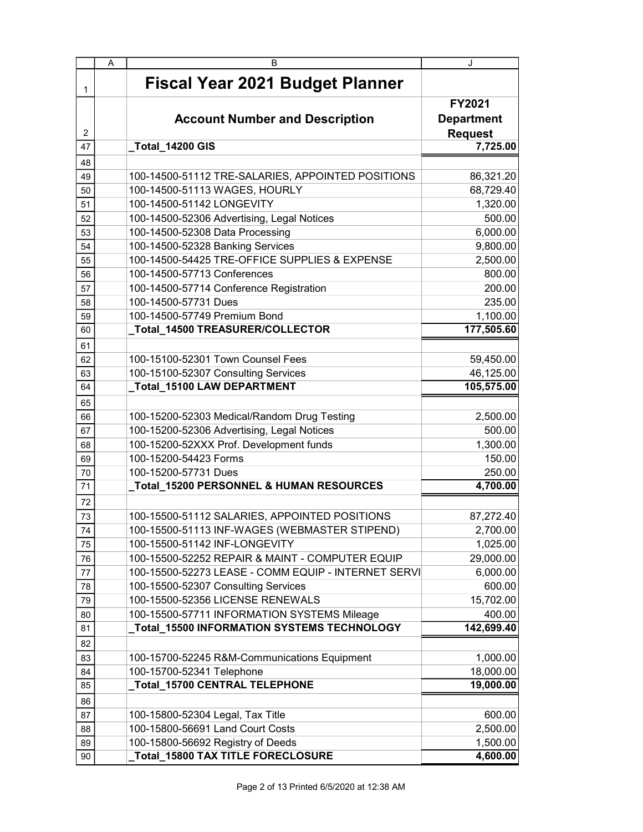|    | A | в                                                   | J                 |
|----|---|-----------------------------------------------------|-------------------|
| 1  |   | <b>Fiscal Year 2021 Budget Planner</b>              |                   |
|    |   |                                                     | FY2021            |
|    |   | <b>Account Number and Description</b>               | <b>Department</b> |
| 2  |   |                                                     | <b>Request</b>    |
| 47 |   | Total_14200 GIS                                     | 7,725.00          |
| 48 |   |                                                     |                   |
| 49 |   | 100-14500-51112 TRE-SALARIES, APPOINTED POSITIONS   | 86,321.20         |
| 50 |   | 100-14500-51113 WAGES, HOURLY                       | 68,729.40         |
| 51 |   | 100-14500-51142 LONGEVITY                           | 1,320.00          |
| 52 |   | 100-14500-52306 Advertising, Legal Notices          | 500.00            |
| 53 |   | 100-14500-52308 Data Processing                     | 6,000.00          |
| 54 |   | 100-14500-52328 Banking Services                    | 9,800.00          |
| 55 |   | 100-14500-54425 TRE-OFFICE SUPPLIES & EXPENSE       | 2,500.00          |
| 56 |   | 100-14500-57713 Conferences                         | 800.00            |
| 57 |   | 100-14500-57714 Conference Registration             | 200.00            |
| 58 |   | 100-14500-57731 Dues                                | 235.00            |
| 59 |   | 100-14500-57749 Premium Bond                        | 1,100.00          |
| 60 |   | _Total_14500 TREASURER/COLLECTOR                    | 177,505.60        |
| 61 |   |                                                     |                   |
| 62 |   | 100-15100-52301 Town Counsel Fees                   | 59,450.00         |
| 63 |   | 100-15100-52307 Consulting Services                 | 46,125.00         |
| 64 |   | _Total_15100 LAW DEPARTMENT                         | 105,575.00        |
| 65 |   |                                                     |                   |
| 66 |   | 100-15200-52303 Medical/Random Drug Testing         | 2,500.00          |
| 67 |   | 100-15200-52306 Advertising, Legal Notices          | 500.00            |
| 68 |   | 100-15200-52XXX Prof. Development funds             | 1,300.00          |
| 69 |   | 100-15200-54423 Forms                               | 150.00            |
| 70 |   | 100-15200-57731 Dues                                | 250.00            |
| 71 |   | Total_15200 PERSONNEL & HUMAN RESOURCES             | 4,700.00          |
| 72 |   |                                                     |                   |
| 73 |   | 100-15500-51112 SALARIES, APPOINTED POSITIONS       | 87,272.40         |
| 74 |   | 100-15500-51113 INF-WAGES (WEBMASTER STIPEND)       | 2,700.00          |
| 75 |   | 100-15500-51142 INF-LONGEVITY                       | 1,025.00          |
| 76 |   | 100-15500-52252 REPAIR & MAINT - COMPUTER EQUIP     | 29,000.00         |
| 77 |   | 100-15500-52273 LEASE - COMM EQUIP - INTERNET SERVI | 6,000.00          |
| 78 |   | 100-15500-52307 Consulting Services                 | 600.00            |
| 79 |   | 100-15500-52356 LICENSE RENEWALS                    | 15,702.00         |
| 80 |   | 100-15500-57711 INFORMATION SYSTEMS Mileage         | 400.00            |
| 81 |   | Total_15500 INFORMATION SYSTEMS TECHNOLOGY          | 142,699.40        |
| 82 |   |                                                     |                   |
| 83 |   | 100-15700-52245 R&M-Communications Equipment        | 1,000.00          |
| 84 |   | 100-15700-52341 Telephone                           | 18,000.00         |
| 85 |   | Total_15700 CENTRAL TELEPHONE                       | 19,000.00         |
| 86 |   |                                                     |                   |
| 87 |   | 100-15800-52304 Legal, Tax Title                    | 600.00            |
| 88 |   | 100-15800-56691 Land Court Costs                    | 2,500.00          |
| 89 |   | 100-15800-56692 Registry of Deeds                   | 1,500.00          |
| 90 |   | Total_15800 TAX TITLE FORECLOSURE                   | 4,600.00          |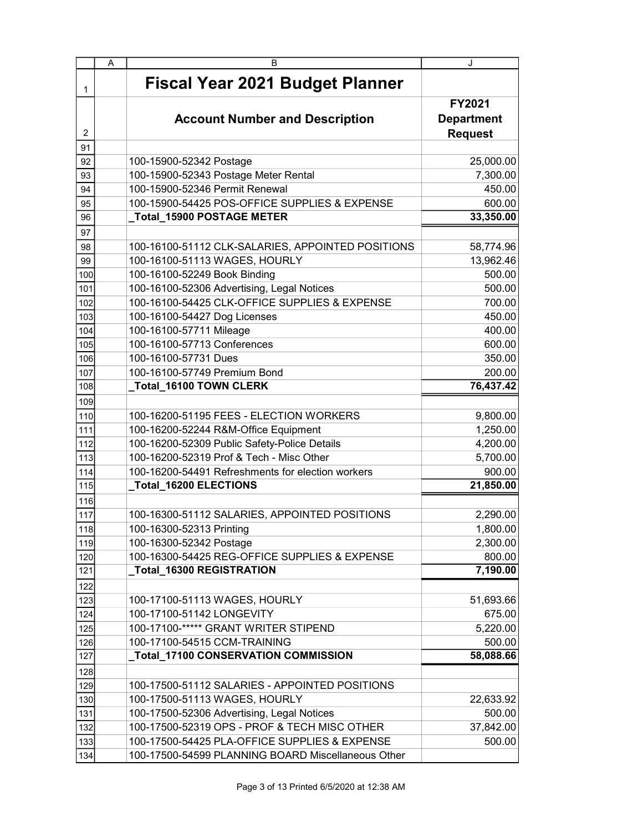|                | A | в                                                  | J                   |
|----------------|---|----------------------------------------------------|---------------------|
| 1              |   | <b>Fiscal Year 2021 Budget Planner</b>             |                     |
|                |   |                                                    | FY2021              |
|                |   | <b>Account Number and Description</b>              | <b>Department</b>   |
| $\overline{2}$ |   |                                                    | <b>Request</b>      |
| 91             |   |                                                    |                     |
| 92             |   | 100-15900-52342 Postage                            | 25,000.00           |
| 93             |   | 100-15900-52343 Postage Meter Rental               | 7,300.00            |
| 94             |   | 100-15900-52346 Permit Renewal                     | 450.00              |
| 95             |   | 100-15900-54425 POS-OFFICE SUPPLIES & EXPENSE      | 600.00              |
| 96             |   | _Total_15900 POSTAGE METER                         | 33,350.00           |
| 97             |   |                                                    |                     |
| 98             |   | 100-16100-51112 CLK-SALARIES, APPOINTED POSITIONS  | 58,774.96           |
| 99             |   | 100-16100-51113 WAGES, HOURLY                      | 13,962.46           |
| 100            |   | 100-16100-52249 Book Binding                       | 500.00              |
| 101            |   | 100-16100-52306 Advertising, Legal Notices         | 500.00              |
| 102            |   | 100-16100-54425 CLK-OFFICE SUPPLIES & EXPENSE      | 700.00              |
| 103            |   | 100-16100-54427 Dog Licenses                       | 450.00              |
| 104            |   | 100-16100-57711 Mileage                            | 400.00              |
| 105            |   | 100-16100-57713 Conferences                        | 600.00              |
| 106            |   | 100-16100-57731 Dues                               | 350.00              |
| 107            |   | 100-16100-57749 Premium Bond                       | 200.00              |
| 108            |   | _Total_16100 TOWN CLERK                            | 76,437.42           |
| 109            |   |                                                    |                     |
| 110            |   | 100-16200-51195 FEES - ELECTION WORKERS            | 9,800.00            |
| 111            |   | 100-16200-52244 R&M-Office Equipment               | 1,250.00            |
| 112            |   | 100-16200-52309 Public Safety-Police Details       | 4,200.00            |
| 113            |   | 100-16200-52319 Prof & Tech - Misc Other           | 5,700.00            |
| 114            |   | 100-16200-54491 Refreshments for election workers  | 900.00              |
| 115            |   | _Total_16200 ELECTIONS                             | 21,850.00           |
| 116            |   |                                                    |                     |
| 117            |   | 100-16300-51112 SALARIES, APPOINTED POSITIONS      | 2,290.00            |
| 118            |   | 100-16300-52313 Printing                           | 1,800.00            |
| 119            |   | 100-16300-52342 Postage                            | 2,300.00            |
| 120            |   | 100-16300-54425 REG-OFFICE SUPPLIES & EXPENSE      | 800.00              |
| 121            |   | _Total_16300 REGISTRATION                          | 7,190.00            |
| 122            |   |                                                    |                     |
| 123            |   | 100-17100-51113 WAGES, HOURLY                      | 51,693.66           |
| 124            |   | 100-17100-51142 LONGEVITY                          | 675.00              |
| 125            |   | 100-17100-***** GRANT WRITER STIPEND               | 5,220.00            |
| 126            |   | 100-17100-54515 CCM-TRAINING                       | 500.00              |
| 127            |   | Total_17100 CONSERVATION COMMISSION                | 58,088.66           |
| 128            |   |                                                    |                     |
| 129            |   | 100-17500-51112 SALARIES - APPOINTED POSITIONS     |                     |
|                |   | 100-17500-51113 WAGES, HOURLY                      |                     |
| 130            |   | 100-17500-52306 Advertising, Legal Notices         | 22,633.92<br>500.00 |
| 131            |   | 100-17500-52319 OPS - PROF & TECH MISC OTHER       |                     |
| 132            |   | 100-17500-54425 PLA-OFFICE SUPPLIES & EXPENSE      | 37,842.00           |
| 133            |   |                                                    | 500.00              |
| 134            |   | 100-17500-54599 PLANNING BOARD Miscellaneous Other |                     |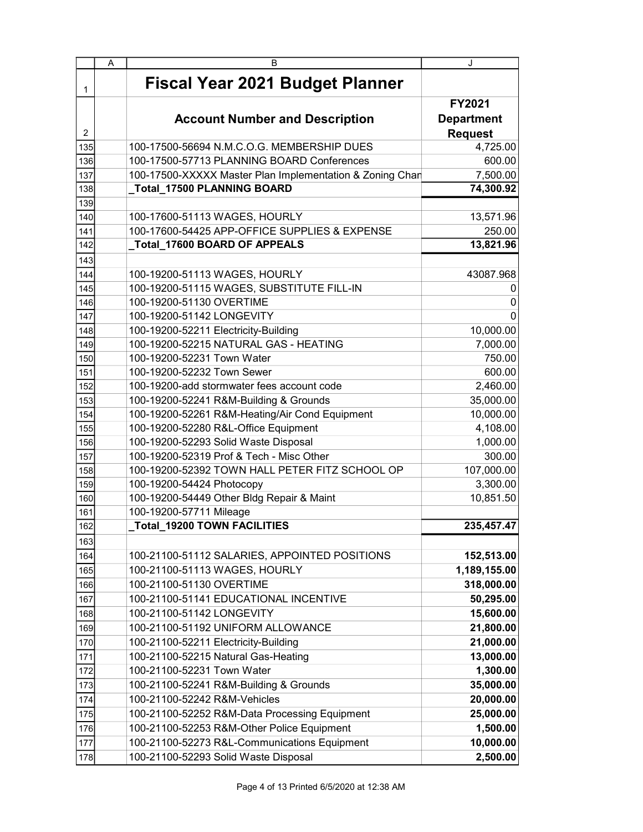|     | A | в                                                        | J                 |
|-----|---|----------------------------------------------------------|-------------------|
| 1   |   | <b>Fiscal Year 2021 Budget Planner</b>                   |                   |
|     |   |                                                          | FY2021            |
|     |   | <b>Account Number and Description</b>                    | <b>Department</b> |
| 2   |   |                                                          | <b>Request</b>    |
| 135 |   | 100-17500-56694 N.M.C.O.G. MEMBERSHIP DUES               | 4,725.00          |
| 136 |   | 100-17500-57713 PLANNING BOARD Conferences               | 600.00            |
| 137 |   | 100-17500-XXXXX Master Plan Implementation & Zoning Chan | 7,500.00          |
| 138 |   | Total_17500 PLANNING BOARD                               | 74,300.92         |
| 139 |   |                                                          |                   |
| 140 |   | 100-17600-51113 WAGES, HOURLY                            | 13,571.96         |
| 141 |   | 100-17600-54425 APP-OFFICE SUPPLIES & EXPENSE            | 250.00            |
| 142 |   | _Total_17600 BOARD OF APPEALS                            | 13,821.96         |
| 143 |   |                                                          |                   |
| 144 |   | 100-19200-51113 WAGES, HOURLY                            | 43087.968         |
| 145 |   | 100-19200-51115 WAGES, SUBSTITUTE FILL-IN                | O                 |
| 146 |   | 100-19200-51130 OVERTIME                                 | 0                 |
| 147 |   | 100-19200-51142 LONGEVITY                                |                   |
| 148 |   | 100-19200-52211 Electricity-Building                     | 10,000.00         |
| 149 |   | 100-19200-52215 NATURAL GAS - HEATING                    | 7,000.00          |
| 150 |   | 100-19200-52231 Town Water                               | 750.00            |
| 151 |   | 100-19200-52232 Town Sewer                               | 600.00            |
| 152 |   | 100-19200-add stormwater fees account code               | 2,460.00          |
| 153 |   | 100-19200-52241 R&M-Building & Grounds                   | 35,000.00         |
| 154 |   | 100-19200-52261 R&M-Heating/Air Cond Equipment           | 10,000.00         |
| 155 |   | 100-19200-52280 R&L-Office Equipment                     | 4,108.00          |
| 156 |   | 100-19200-52293 Solid Waste Disposal                     | 1,000.00          |
| 157 |   | 100-19200-52319 Prof & Tech - Misc Other                 | 300.00            |
| 158 |   | 100-19200-52392 TOWN HALL PETER FITZ SCHOOL OP           | 107,000.00        |
| 159 |   | 100-19200-54424 Photocopy                                | 3,300.00          |
| 160 |   | 100-19200-54449 Other Bldg Repair & Maint                | 10,851.50         |
| 161 |   | 100-19200-57711 Mileage                                  |                   |
| 162 |   | <b>Total_19200 TOWN FACILITIES</b>                       | 235,457.47        |
| 163 |   |                                                          |                   |
| 164 |   | 100-21100-51112 SALARIES, APPOINTED POSITIONS            | 152,513.00        |
| 165 |   | 100-21100-51113 WAGES, HOURLY                            | 1,189,155.00      |
| 166 |   | 100-21100-51130 OVERTIME                                 | 318,000.00        |
| 167 |   | 100-21100-51141 EDUCATIONAL INCENTIVE                    | 50,295.00         |
| 168 |   | 100-21100-51142 LONGEVITY                                | 15,600.00         |
| 169 |   | 100-21100-51192 UNIFORM ALLOWANCE                        | 21,800.00         |
| 170 |   | 100-21100-52211 Electricity-Building                     | 21,000.00         |
| 171 |   | 100-21100-52215 Natural Gas-Heating                      | 13,000.00         |
| 172 |   | 100-21100-52231 Town Water                               | 1,300.00          |
| 173 |   | 100-21100-52241 R&M-Building & Grounds                   | 35,000.00         |
| 174 |   | 100-21100-52242 R&M-Vehicles                             | 20,000.00         |
| 175 |   | 100-21100-52252 R&M-Data Processing Equipment            | 25,000.00         |
| 176 |   | 100-21100-52253 R&M-Other Police Equipment               | 1,500.00          |
| 177 |   | 100-21100-52273 R&L-Communications Equipment             | 10,000.00         |
| 178 |   | 100-21100-52293 Solid Waste Disposal                     | 2,500.00          |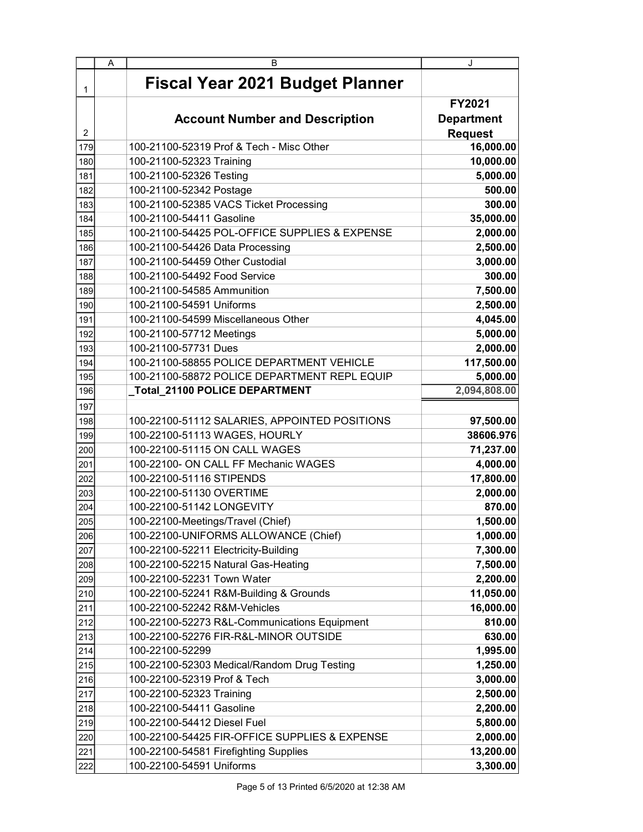|     | A | в                                             | J                 |
|-----|---|-----------------------------------------------|-------------------|
| 1   |   | <b>Fiscal Year 2021 Budget Planner</b>        |                   |
|     |   |                                               | <b>FY2021</b>     |
|     |   | <b>Account Number and Description</b>         | <b>Department</b> |
| 2   |   |                                               | <b>Request</b>    |
| 179 |   | 100-21100-52319 Prof & Tech - Misc Other      | 16,000.00         |
| 180 |   | 100-21100-52323 Training                      | 10,000.00         |
| 181 |   | 100-21100-52326 Testing                       | 5,000.00          |
| 182 |   | 100-21100-52342 Postage                       | 500.00            |
| 183 |   | 100-21100-52385 VACS Ticket Processing        | 300.00            |
| 184 |   | 100-21100-54411 Gasoline                      | 35,000.00         |
| 185 |   | 100-21100-54425 POL-OFFICE SUPPLIES & EXPENSE | 2,000.00          |
| 186 |   | 100-21100-54426 Data Processing               | 2,500.00          |
| 187 |   | 100-21100-54459 Other Custodial               | 3,000.00          |
| 188 |   | 100-21100-54492 Food Service                  | 300.00            |
| 189 |   | 100-21100-54585 Ammunition                    | 7,500.00          |
| 190 |   | 100-21100-54591 Uniforms                      | 2,500.00          |
| 191 |   | 100-21100-54599 Miscellaneous Other           | 4,045.00          |
| 192 |   | 100-21100-57712 Meetings                      | 5,000.00          |
| 193 |   | 100-21100-57731 Dues                          | 2,000.00          |
| 194 |   | 100-21100-58855 POLICE DEPARTMENT VEHICLE     | 117,500.00        |
| 195 |   | 100-21100-58872 POLICE DEPARTMENT REPL EQUIP  | 5,000.00          |
| 196 |   | _Total_21100 POLICE DEPARTMENT                | 2,094,808.00      |
| 197 |   |                                               |                   |
| 198 |   | 100-22100-51112 SALARIES, APPOINTED POSITIONS | 97,500.00         |
| 199 |   | 100-22100-51113 WAGES, HOURLY                 | 38606.976         |
| 200 |   | 100-22100-51115 ON CALL WAGES                 | 71,237.00         |
| 201 |   | 100-22100- ON CALL FF Mechanic WAGES          | 4,000.00          |
| 202 |   | 100-22100-51116 STIPENDS                      | 17,800.00         |
| 203 |   | 100-22100-51130 OVERTIME                      | 2,000.00          |
| 204 |   | 100-22100-51142 LONGEVITY                     | 870.00            |
| 205 |   | 100-22100-Meetings/Travel (Chief)             | 1,500.00          |
| 206 |   | 100-22100-UNIFORMS ALLOWANCE (Chief)          | 1,000.00          |
| 207 |   | 100-22100-52211 Electricity-Building          | 7,300.00          |
| 208 |   | 100-22100-52215 Natural Gas-Heating           | 7,500.00          |
| 209 |   | 100-22100-52231 Town Water                    | 2,200.00          |
| 210 |   | 100-22100-52241 R&M-Building & Grounds        | 11,050.00         |
| 211 |   | 100-22100-52242 R&M-Vehicles                  | 16,000.00         |
| 212 |   | 100-22100-52273 R&L-Communications Equipment  | 810.00            |
| 213 |   | 100-22100-52276 FIR-R&L-MINOR OUTSIDE         | 630.00            |
| 214 |   | 100-22100-52299                               | 1,995.00          |
| 215 |   | 100-22100-52303 Medical/Random Drug Testing   | 1,250.00          |
| 216 |   | 100-22100-52319 Prof & Tech                   | 3,000.00          |
| 217 |   | 100-22100-52323 Training                      | 2,500.00          |
| 218 |   | 100-22100-54411 Gasoline                      | 2,200.00          |
| 219 |   | 100-22100-54412 Diesel Fuel                   | 5,800.00          |
| 220 |   | 100-22100-54425 FIR-OFFICE SUPPLIES & EXPENSE | 2,000.00          |
| 221 |   | 100-22100-54581 Firefighting Supplies         | 13,200.00         |
| 222 |   | 100-22100-54591 Uniforms                      | 3,300.00          |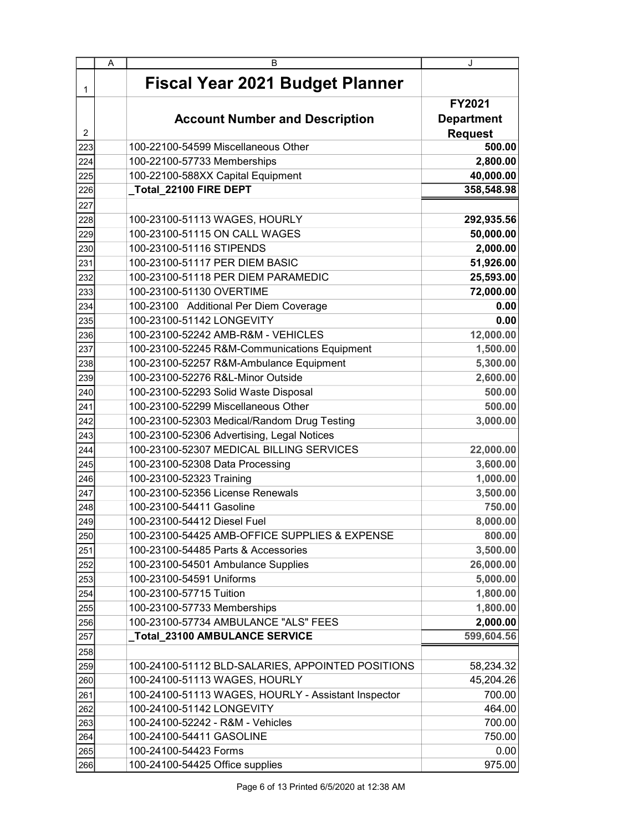|                | A | B                                                   | J                 |
|----------------|---|-----------------------------------------------------|-------------------|
| 1              |   | <b>Fiscal Year 2021 Budget Planner</b>              |                   |
|                |   |                                                     | <b>FY2021</b>     |
|                |   | <b>Account Number and Description</b>               | <b>Department</b> |
| $\overline{2}$ |   |                                                     | <b>Request</b>    |
| 223            |   | 100-22100-54599 Miscellaneous Other                 | 500.00            |
| 224            |   | 100-22100-57733 Memberships                         | 2,800.00          |
| 225            |   | 100-22100-588XX Capital Equipment                   | 40,000.00         |
| 226            |   | Total 22100 FIRE DEPT                               | 358,548.98        |
| 227            |   |                                                     |                   |
| 228            |   | 100-23100-51113 WAGES, HOURLY                       | 292,935.56        |
| 229            |   | 100-23100-51115 ON CALL WAGES                       | 50,000.00         |
| 230            |   | 100-23100-51116 STIPENDS                            | 2,000.00          |
| 231            |   | 100-23100-51117 PER DIEM BASIC                      | 51,926.00         |
| 232            |   | 100-23100-51118 PER DIEM PARAMEDIC                  | 25,593.00         |
| 233            |   | 100-23100-51130 OVERTIME                            | 72,000.00         |
| 234            |   | 100-23100 Additional Per Diem Coverage              | 0.00              |
| 235            |   | 100-23100-51142 LONGEVITY                           | 0.00              |
| 236            |   | 100-23100-52242 AMB-R&M - VEHICLES                  | 12,000.00         |
| 237            |   | 100-23100-52245 R&M-Communications Equipment        | 1,500.00          |
| 238            |   | 100-23100-52257 R&M-Ambulance Equipment             | 5,300.00          |
| 239            |   | 100-23100-52276 R&L-Minor Outside                   | 2,600.00          |
| 240            |   | 100-23100-52293 Solid Waste Disposal                | 500.00            |
| 241            |   | 100-23100-52299 Miscellaneous Other                 | 500.00            |
| 242            |   | 100-23100-52303 Medical/Random Drug Testing         | 3,000.00          |
| 243            |   | 100-23100-52306 Advertising, Legal Notices          |                   |
| 244            |   | 100-23100-52307 MEDICAL BILLING SERVICES            | 22,000.00         |
| 245            |   | 100-23100-52308 Data Processing                     | 3,600.00          |
| 246            |   | 100-23100-52323 Training                            | 1,000.00          |
| 247            |   | 100-23100-52356 License Renewals                    | 3,500.00          |
| 248            |   | 100-23100-54411 Gasoline                            | 750.00            |
| 249            |   | 100-23100-54412 Diesel Fuel                         | 8,000.00          |
| 250            |   | 100-23100-54425 AMB-OFFICE SUPPLIES & EXPENSE       | 800.00            |
| 251            |   | 100-23100-54485 Parts & Accessories                 | 3,500.00          |
| 252            |   | 100-23100-54501 Ambulance Supplies                  | 26,000.00         |
| 253            |   | 100-23100-54591 Uniforms                            | 5,000.00          |
| 254            |   | 100-23100-57715 Tuition                             | 1,800.00          |
| 255            |   | 100-23100-57733 Memberships                         | 1,800.00          |
| 256            |   | 100-23100-57734 AMBULANCE "ALS" FEES                | 2,000.00          |
| 257            |   | _Total_23100 AMBULANCE SERVICE                      | 599,604.56        |
| 258            |   |                                                     |                   |
| 259            |   | 100-24100-51112 BLD-SALARIES, APPOINTED POSITIONS   | 58,234.32         |
| 260            |   | 100-24100-51113 WAGES, HOURLY                       | 45,204.26         |
| 261            |   | 100-24100-51113 WAGES, HOURLY - Assistant Inspector | 700.00            |
| 262            |   | 100-24100-51142 LONGEVITY                           | 464.00            |
| 263            |   | 100-24100-52242 - R&M - Vehicles                    | 700.00            |
| 264            |   | 100-24100-54411 GASOLINE                            | 750.00            |
| 265            |   | 100-24100-54423 Forms                               | 0.00              |
| 266            |   | 100-24100-54425 Office supplies                     | 975.00            |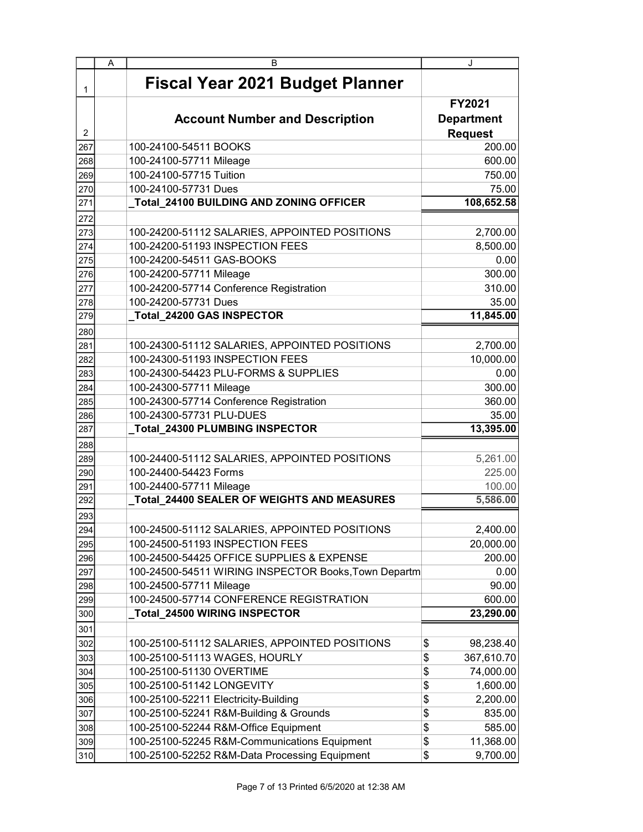|     | A | в                                                    | J                                             |
|-----|---|------------------------------------------------------|-----------------------------------------------|
| 1   |   | <b>Fiscal Year 2021 Budget Planner</b>               |                                               |
| 2   |   | <b>Account Number and Description</b>                | FY2021<br><b>Department</b><br><b>Request</b> |
| 267 |   | 100-24100-54511 BOOKS                                | 200.00                                        |
| 268 |   | 100-24100-57711 Mileage                              | 600.00                                        |
| 269 |   | 100-24100-57715 Tuition                              | 750.00                                        |
| 270 |   | 100-24100-57731 Dues                                 | 75.00                                         |
| 271 |   | Total_24100 BUILDING AND ZONING OFFICER              | 108,652.58                                    |
| 272 |   |                                                      |                                               |
| 273 |   | 100-24200-51112 SALARIES, APPOINTED POSITIONS        | 2,700.00                                      |
| 274 |   | 100-24200-51193 INSPECTION FEES                      | 8,500.00                                      |
| 275 |   | 100-24200-54511 GAS-BOOKS                            | 0.00                                          |
| 276 |   | 100-24200-57711 Mileage                              | 300.00                                        |
| 277 |   | 100-24200-57714 Conference Registration              | 310.00                                        |
| 278 |   | 100-24200-57731 Dues                                 | 35.00                                         |
| 279 |   | <b>Total 24200 GAS INSPECTOR</b>                     | 11,845.00                                     |
| 280 |   |                                                      |                                               |
| 281 |   | 100-24300-51112 SALARIES, APPOINTED POSITIONS        | 2,700.00                                      |
| 282 |   | 100-24300-51193 INSPECTION FEES                      | 10,000.00                                     |
| 283 |   | 100-24300-54423 PLU-FORMS & SUPPLIES                 | 0.00                                          |
| 284 |   | 100-24300-57711 Mileage                              | 300.00                                        |
| 285 |   | 100-24300-57714 Conference Registration              | 360.00                                        |
| 286 |   | 100-24300-57731 PLU-DUES                             | 35.00                                         |
| 287 |   | Total_24300 PLUMBING INSPECTOR                       | 13,395.00                                     |
| 288 |   |                                                      |                                               |
| 289 |   | 100-24400-51112 SALARIES, APPOINTED POSITIONS        | 5,261.00                                      |
| 290 |   | 100-24400-54423 Forms                                | 225.00                                        |
| 291 |   | 100-24400-57711 Mileage                              | 100.00                                        |
| 292 |   | Total_24400 SEALER OF WEIGHTS AND MEASURES           | 5,586.00                                      |
| 293 |   |                                                      |                                               |
| 294 |   | 100-24500-51112 SALARIES, APPOINTED POSITIONS        | 2,400.00                                      |
| 295 |   | 100-24500-51193 INSPECTION FEES                      | 20,000.00                                     |
| 296 |   | 100-24500-54425 OFFICE SUPPLIES & EXPENSE            | 200.00                                        |
| 297 |   | 100-24500-54511 WIRING INSPECTOR Books, Town Departm | 0.00                                          |
| 298 |   | 100-24500-57711 Mileage                              | 90.00                                         |
| 299 |   | 100-24500-57714 CONFERENCE REGISTRATION              | 600.00                                        |
| 300 |   | Total_24500 WIRING INSPECTOR                         | 23,290.00                                     |
| 301 |   |                                                      |                                               |
| 302 |   | 100-25100-51112 SALARIES, APPOINTED POSITIONS        | \$<br>98,238.40                               |
| 303 |   | 100-25100-51113 WAGES, HOURLY                        | \$<br>367,610.70                              |
| 304 |   | 100-25100-51130 OVERTIME                             | \$<br>74,000.00                               |
| 305 |   | 100-25100-51142 LONGEVITY                            | \$<br>1,600.00                                |
| 306 |   | 100-25100-52211 Electricity-Building                 | \$<br>2,200.00                                |
| 307 |   | 100-25100-52241 R&M-Building & Grounds               | \$<br>835.00                                  |
| 308 |   | 100-25100-52244 R&M-Office Equipment                 | \$<br>585.00                                  |
| 309 |   | 100-25100-52245 R&M-Communications Equipment         | 11,368.00<br>\$                               |
| 310 |   | 100-25100-52252 R&M-Data Processing Equipment        | \$<br>9,700.00                                |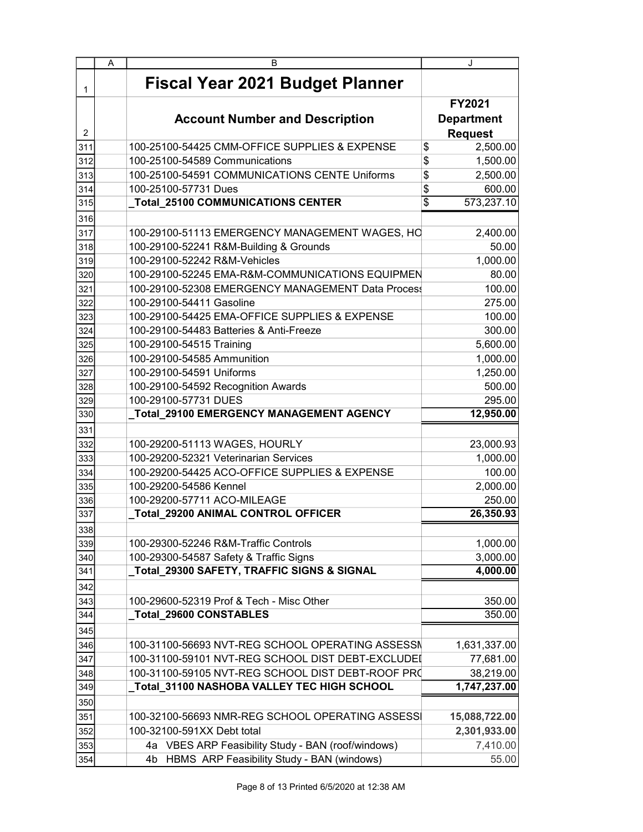|                | A | В                                                                      | J                                                    |
|----------------|---|------------------------------------------------------------------------|------------------------------------------------------|
| 1              |   | <b>Fiscal Year 2021 Budget Planner</b>                                 |                                                      |
| $\overline{2}$ |   | <b>Account Number and Description</b>                                  | <b>FY2021</b><br><b>Department</b><br><b>Request</b> |
| 311            |   | 100-25100-54425 CMM-OFFICE SUPPLIES & EXPENSE                          | \$<br>2,500.00                                       |
| 312            |   | 100-25100-54589 Communications                                         | \$<br>1,500.00                                       |
| 313            |   | 100-25100-54591 COMMUNICATIONS CENTE Uniforms                          | \$<br>2,500.00                                       |
| 314            |   | 100-25100-57731 Dues                                                   | \$<br>600.00                                         |
| 315            |   | _Total_25100 COMMUNICATIONS CENTER                                     | $\overline{\$}$<br>573,237.10                        |
| 316            |   |                                                                        |                                                      |
| 317            |   | 100-29100-51113 EMERGENCY MANAGEMENT WAGES, HO                         | 2,400.00                                             |
| 318            |   | 100-29100-52241 R&M-Building & Grounds                                 | 50.00                                                |
| 319            |   | 100-29100-52242 R&M-Vehicles                                           | 1,000.00                                             |
| 320            |   | 100-29100-52245 EMA-R&M-COMMUNICATIONS EQUIPMEN                        | 80.00                                                |
| 321            |   | 100-29100-52308 EMERGENCY MANAGEMENT Data Process                      | 100.00                                               |
| 322            |   | 100-29100-54411 Gasoline                                               | 275.00                                               |
| 323            |   | 100-29100-54425 EMA-OFFICE SUPPLIES & EXPENSE                          | 100.00                                               |
| 324            |   | 100-29100-54483 Batteries & Anti-Freeze                                | 300.00                                               |
| 325            |   | 100-29100-54515 Training                                               | 5,600.00                                             |
| 326            |   | 100-29100-54585 Ammunition                                             | 1,000.00                                             |
| 327            |   | 100-29100-54591 Uniforms                                               | 1,250.00                                             |
| 328            |   | 100-29100-54592 Recognition Awards                                     | 500.00                                               |
| 329            |   | 100-29100-57731 DUES                                                   | 295.00                                               |
| 330            |   | Total_29100 EMERGENCY MANAGEMENT AGENCY                                | 12,950.00                                            |
| 331            |   |                                                                        |                                                      |
| 332            |   | 100-29200-51113 WAGES, HOURLY<br>100-29200-52321 Veterinarian Services | 23,000.93                                            |
| 333            |   | 100-29200-54425 ACO-OFFICE SUPPLIES & EXPENSE                          | 1,000.00<br>100.00                                   |
| 334<br>335     |   | 100-29200-54586 Kennel                                                 | 2,000.00                                             |
| 336            |   | 100-29200-57711 ACO-MILEAGE                                            | 250.00                                               |
| 337            |   | Total_29200 ANIMAL CONTROL OFFICER                                     | 26,350.93                                            |
| 338            |   |                                                                        |                                                      |
| 339            |   | 100-29300-52246 R&M-Traffic Controls                                   | 1,000.00                                             |
| 340            |   | 100-29300-54587 Safety & Traffic Signs                                 | 3,000.00                                             |
| 341            |   | Total_29300 SAFETY, TRAFFIC SIGNS & SIGNAL                             | 4,000.00                                             |
| 342            |   |                                                                        |                                                      |
| 343            |   | 100-29600-52319 Prof & Tech - Misc Other                               | 350.00                                               |
| 344            |   | Total_29600 CONSTABLES                                                 | 350.00                                               |
| 345            |   |                                                                        |                                                      |
| 346            |   | 100-31100-56693 NVT-REG SCHOOL OPERATING ASSESSN                       | 1,631,337.00                                         |
| 347            |   | 100-31100-59101 NVT-REG SCHOOL DIST DEBT-EXCLUDEI                      | 77,681.00                                            |
| 348            |   | 100-31100-59105 NVT-REG SCHOOL DIST DEBT-ROOF PRO                      | 38,219.00                                            |
| 349            |   | _Total_31100 NASHOBA VALLEY TEC HIGH SCHOOL                            | 1,747,237.00                                         |
| 350            |   |                                                                        |                                                      |
| 351            |   | 100-32100-56693 NMR-REG SCHOOL OPERATING ASSESSI                       | 15,088,722.00                                        |
| 352            |   | 100-32100-591XX Debt total                                             | 2,301,933.00                                         |
| 353            |   | 4a VBES ARP Feasibility Study - BAN (roof/windows)                     | 7,410.00                                             |
| 354            |   | HBMS ARP Feasibility Study - BAN (windows)<br>4b                       | 55.00                                                |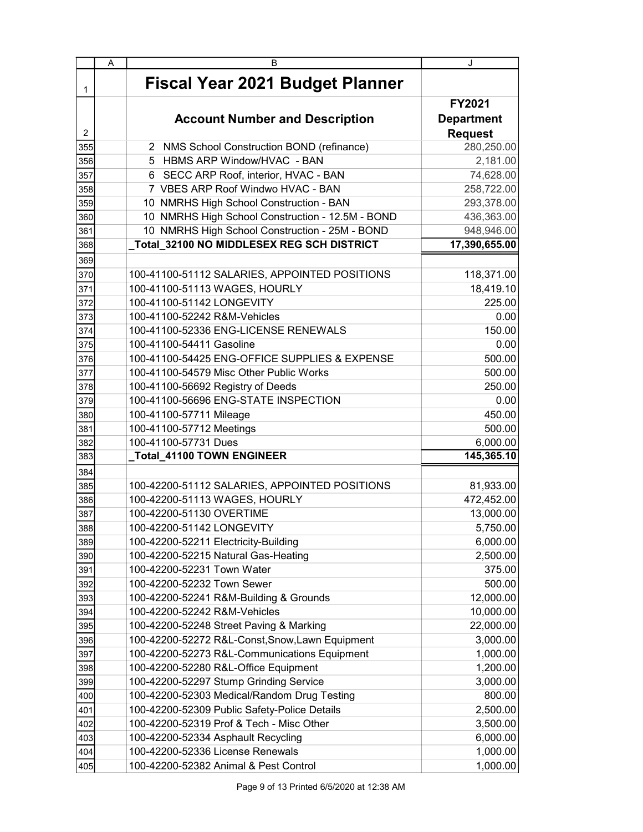|                | A | B                                                                          | J                           |
|----------------|---|----------------------------------------------------------------------------|-----------------------------|
| 1              |   | <b>Fiscal Year 2021 Budget Planner</b>                                     |                             |
|                |   |                                                                            | FY2021<br><b>Department</b> |
|                |   | <b>Account Number and Description</b>                                      |                             |
| $\overline{2}$ |   |                                                                            | <b>Request</b>              |
| 355            |   | 2 NMS School Construction BOND (refinance)<br>5 HBMS ARP Window/HVAC - BAN | 280,250.00                  |
| 356<br>357     |   | 6 SECC ARP Roof, interior, HVAC - BAN                                      | 2,181.00<br>74,628.00       |
|                |   | 7 VBES ARP Roof Windwo HVAC - BAN                                          | 258,722.00                  |
| 358            |   | 10 NMRHS High School Construction - BAN                                    | 293,378.00                  |
| 359<br>360     |   | 10 NMRHS High School Construction - 12.5M - BOND                           | 436,363.00                  |
| 361            |   | 10 NMRHS High School Construction - 25M - BOND                             | 948,946.00                  |
| 368            |   | _Total_32100 NO MIDDLESEX REG SCH DISTRICT                                 | 17,390,655.00               |
|                |   |                                                                            |                             |
| 369            |   |                                                                            |                             |
| 370            |   | 100-41100-51112 SALARIES, APPOINTED POSITIONS                              | 118,371.00                  |
| 371            |   | 100-41100-51113 WAGES, HOURLY                                              | 18,419.10                   |
| 372            |   | 100-41100-51142 LONGEVITY<br>100-41100-52242 R&M-Vehicles                  | 225.00                      |
| 373            |   |                                                                            | 0.00                        |
| 374            |   | 100-41100-52336 ENG-LICENSE RENEWALS<br>100-41100-54411 Gasoline           | 150.00                      |
| 375            |   | 100-41100-54425 ENG-OFFICE SUPPLIES & EXPENSE                              | 0.00                        |
| 376            |   |                                                                            | 500.00                      |
| 377            |   | 100-41100-54579 Misc Other Public Works                                    | 500.00                      |
| 378            |   | 100-41100-56692 Registry of Deeds<br>100-41100-56696 ENG-STATE INSPECTION  | 250.00                      |
| 379            |   |                                                                            | 0.00                        |
| 380            |   | 100-41100-57711 Mileage                                                    | 450.00                      |
| 381            |   | 100-41100-57712 Meetings                                                   | 500.00                      |
| 382            |   | 100-41100-57731 Dues                                                       | 6,000.00<br>145,365.10      |
| 383            |   | _Total_41100 TOWN ENGINEER                                                 |                             |
| 384            |   |                                                                            |                             |
| 385            |   | 100-42200-51112 SALARIES, APPOINTED POSITIONS                              | 81,933.00                   |
| 386            |   | 100-42200-51113 WAGES, HOURLY                                              | 472,452.00                  |
| 387            |   | 100-42200-51130 OVERTIME                                                   | 13,000.00                   |
| 388            |   | 100-42200-51142 LONGEVITY                                                  | 5,750.00                    |
| 389            |   | 100-42200-52211 Electricity-Building                                       | 6,000.00                    |
| 390            |   | 100-42200-52215 Natural Gas-Heating                                        | 2,500.00                    |
| 391            |   | 100-42200-52231 Town Water                                                 | 375.00                      |
| 392            |   | 100-42200-52232 Town Sewer                                                 | 500.00                      |
| 393            |   | 100-42200-52241 R&M-Building & Grounds                                     | 12,000.00                   |
| 394            |   | 100-42200-52242 R&M-Vehicles                                               | 10,000.00                   |
| 395            |   | 100-42200-52248 Street Paving & Marking                                    | 22,000.00                   |
| 396            |   | 100-42200-52272 R&L-Const, Snow, Lawn Equipment                            | 3,000.00                    |
| 397            |   | 100-42200-52273 R&L-Communications Equipment                               | 1,000.00                    |
| 398            |   | 100-42200-52280 R&L-Office Equipment                                       | 1,200.00                    |
| 399            |   | 100-42200-52297 Stump Grinding Service                                     | 3,000.00                    |
| 400            |   | 100-42200-52303 Medical/Random Drug Testing                                | 800.00                      |
| 401            |   | 100-42200-52309 Public Safety-Police Details                               | 2,500.00                    |
| 402            |   | 100-42200-52319 Prof & Tech - Misc Other                                   | 3,500.00                    |
| 403            |   | 100-42200-52334 Asphault Recycling                                         | 6,000.00                    |
| 404            |   | 100-42200-52336 License Renewals                                           | 1,000.00                    |
| 405            |   | 100-42200-52382 Animal & Pest Control                                      | 1,000.00                    |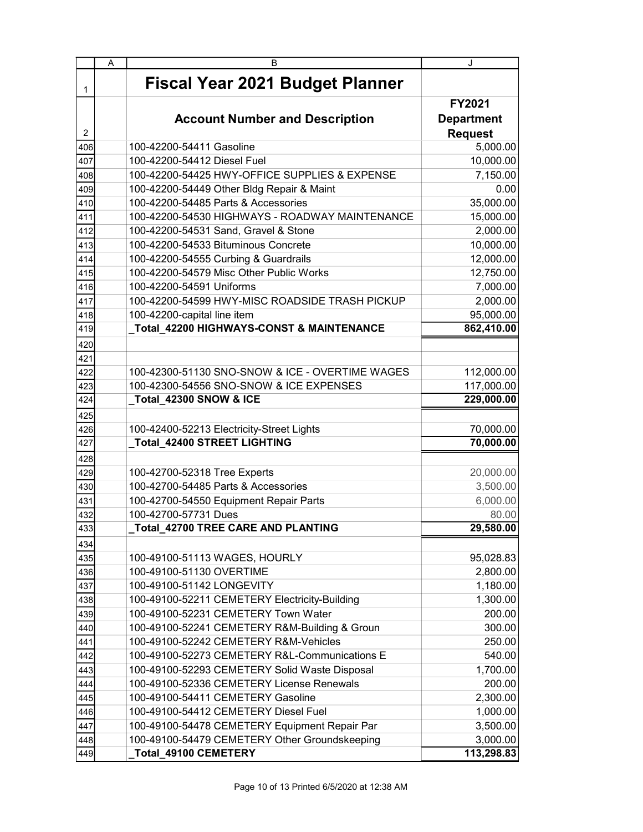|                | A | B                                               | J                 |
|----------------|---|-------------------------------------------------|-------------------|
| 1              |   | <b>Fiscal Year 2021 Budget Planner</b>          |                   |
|                |   |                                                 | FY2021            |
|                |   | <b>Account Number and Description</b>           | <b>Department</b> |
| $\overline{2}$ |   |                                                 | <b>Request</b>    |
| 406            |   | 100-42200-54411 Gasoline                        | 5,000.00          |
| 407            |   | 100-42200-54412 Diesel Fuel                     | 10,000.00         |
| 408            |   | 100-42200-54425 HWY-OFFICE SUPPLIES & EXPENSE   | 7,150.00          |
| 409            |   | 100-42200-54449 Other Bldg Repair & Maint       | 0.00              |
| 410            |   | 100-42200-54485 Parts & Accessories             | 35,000.00         |
| 411            |   | 100-42200-54530 HIGHWAYS - ROADWAY MAINTENANCE  | 15,000.00         |
| 412            |   | 100-42200-54531 Sand, Gravel & Stone            | 2,000.00          |
| 413            |   | 100-42200-54533 Bituminous Concrete             | 10,000.00         |
| 414            |   | 100-42200-54555 Curbing & Guardrails            | 12,000.00         |
| 415            |   | 100-42200-54579 Misc Other Public Works         | 12,750.00         |
| 416            |   | 100-42200-54591 Uniforms                        | 7,000.00          |
| 417            |   | 100-42200-54599 HWY-MISC ROADSIDE TRASH PICKUP  | 2,000.00          |
| 418            |   | 100-42200-capital line item                     | 95,000.00         |
| 419            |   |                                                 | 862,410.00        |
| 420            |   |                                                 |                   |
| 421            |   |                                                 |                   |
| 422            |   | 100-42300-51130 SNO-SNOW & ICE - OVERTIME WAGES | 112,000.00        |
| 423            |   | 100-42300-54556 SNO-SNOW & ICE EXPENSES         | 117,000.00        |
| 424            |   | Total_42300 SNOW & ICE                          | 229,000.00        |
| 425            |   |                                                 |                   |
| 426            |   | 100-42400-52213 Electricity-Street Lights       | 70,000.00         |
| 427            |   | Total_42400 STREET LIGHTING                     | 70,000.00         |
| 428            |   |                                                 |                   |
| 429            |   | 100-42700-52318 Tree Experts                    | 20,000.00         |
| 430            |   | 100-42700-54485 Parts & Accessories             | 3,500.00          |
| 431            |   | 100-42700-54550 Equipment Repair Parts          | 6,000.00          |
| 432            |   | 100-42700-57731 Dues                            | 80.00             |
| 433            |   | Total_42700 TREE CARE AND PLANTING              | 29,580.00         |
| 434            |   |                                                 |                   |
| 435            |   | 100-49100-51113 WAGES, HOURLY                   | 95,028.83         |
| 436            |   | 100-49100-51130 OVERTIME                        | 2,800.00          |
| 437            |   | 100-49100-51142 LONGEVITY                       | 1,180.00          |
| 438            |   | 100-49100-52211 CEMETERY Electricity-Building   | 1,300.00          |
| 439            |   | 100-49100-52231 CEMETERY Town Water             | 200.00            |
| 440            |   | 100-49100-52241 CEMETERY R&M-Building & Groun   | 300.00            |
| 441            |   | 100-49100-52242 CEMETERY R&M-Vehicles           | 250.00            |
| 442            |   | 100-49100-52273 CEMETERY R&L-Communications E   | 540.00            |
| 443            |   | 100-49100-52293 CEMETERY Solid Waste Disposal   | 1,700.00          |
| 444            |   | 100-49100-52336 CEMETERY License Renewals       | 200.00            |
| 445            |   | 100-49100-54411 CEMETERY Gasoline               | 2,300.00          |
| 446            |   | 100-49100-54412 CEMETERY Diesel Fuel            | 1,000.00          |
| 447            |   | 100-49100-54478 CEMETERY Equipment Repair Par   | 3,500.00          |
| 448            |   | 100-49100-54479 CEMETERY Other Groundskeeping   | 3,000.00          |
| 449            |   | Total_49100 CEMETERY                            | 113,298.83        |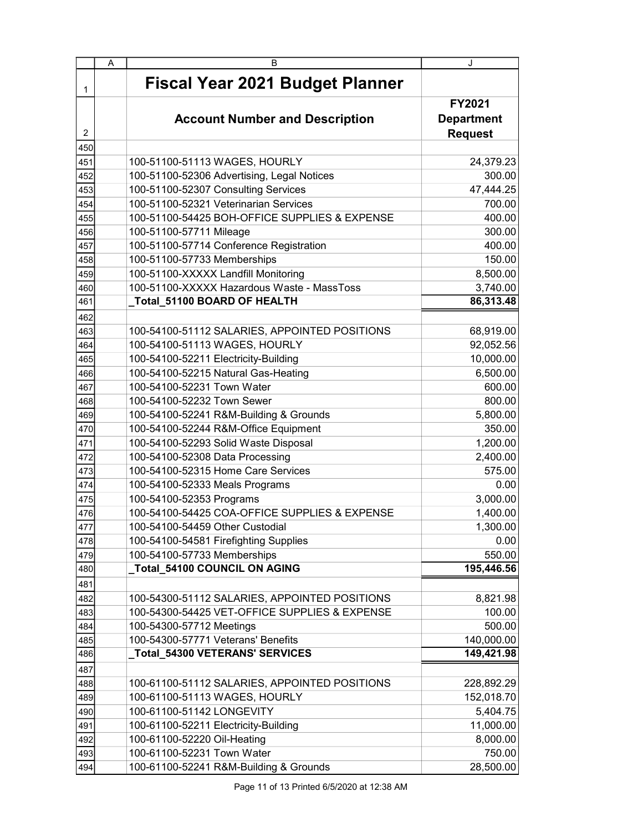|                | A | B                                             | J                 |
|----------------|---|-----------------------------------------------|-------------------|
| 1              |   | <b>Fiscal Year 2021 Budget Planner</b>        |                   |
|                |   |                                               | FY2021            |
|                |   | <b>Account Number and Description</b>         | <b>Department</b> |
| $\overline{2}$ |   |                                               | <b>Request</b>    |
| 450            |   |                                               |                   |
| 451            |   | 100-51100-51113 WAGES, HOURLY                 | 24,379.23         |
| 452            |   | 100-51100-52306 Advertising, Legal Notices    | 300.00            |
| 453            |   | 100-51100-52307 Consulting Services           | 47,444.25         |
| 454            |   | 100-51100-52321 Veterinarian Services         | 700.00            |
| 455            |   | 100-51100-54425 BOH-OFFICE SUPPLIES & EXPENSE | 400.00            |
| 456            |   | 100-51100-57711 Mileage                       | 300.00            |
| 457            |   | 100-51100-57714 Conference Registration       | 400.00            |
| 458            |   | 100-51100-57733 Memberships                   | 150.00            |
| 459            |   | 100-51100-XXXXX Landfill Monitoring           | 8,500.00          |
| 460            |   | 100-51100-XXXXX Hazardous Waste - MassToss    | 3,740.00          |
| 461            |   | Total 51100 BOARD OF HEALTH                   | 86,313.48         |
| 462            |   |                                               |                   |
| 463            |   | 100-54100-51112 SALARIES, APPOINTED POSITIONS | 68,919.00         |
| 464            |   | 100-54100-51113 WAGES, HOURLY                 | 92,052.56         |
| 465            |   | 100-54100-52211 Electricity-Building          | 10,000.00         |
| 466            |   | 100-54100-52215 Natural Gas-Heating           | 6,500.00          |
| 467            |   | 100-54100-52231 Town Water                    | 600.00            |
| 468            |   | 100-54100-52232 Town Sewer                    | 800.00            |
| 469            |   | 100-54100-52241 R&M-Building & Grounds        | 5,800.00          |
| 470            |   | 100-54100-52244 R&M-Office Equipment          | 350.00            |
| 471            |   | 100-54100-52293 Solid Waste Disposal          | 1,200.00          |
| 472            |   | 100-54100-52308 Data Processing               | 2,400.00          |
| 473            |   | 100-54100-52315 Home Care Services            | 575.00            |
| 474            |   | 100-54100-52333 Meals Programs                | 0.00              |
| 475            |   | 100-54100-52353 Programs                      | 3,000.00          |
| 476            |   | 100-54100-54425 COA-OFFICE SUPPLIES & EXPENSE | 1,400.00          |
| 477            |   | 100-54100-54459 Other Custodial               | 1,300.00          |
| 478            |   | 100-54100-54581 Firefighting Supplies         | 0.00              |
| 479            |   | 100-54100-57733 Memberships                   | 550.00            |
| 480            |   | Total_54100 COUNCIL ON AGING                  | 195,446.56        |
| 481            |   |                                               |                   |
| 482            |   | 100-54300-51112 SALARIES, APPOINTED POSITIONS | 8,821.98          |
| 483            |   | 100-54300-54425 VET-OFFICE SUPPLIES & EXPENSE | 100.00            |
| 484            |   | 100-54300-57712 Meetings                      | 500.00            |
| 485            |   | 100-54300-57771 Veterans' Benefits            | 140,000.00        |
| 486            |   | _Total_54300 VETERANS' SERVICES               | 149,421.98        |
| 487            |   |                                               |                   |
| 488            |   | 100-61100-51112 SALARIES, APPOINTED POSITIONS | 228,892.29        |
| 489            |   | 100-61100-51113 WAGES, HOURLY                 | 152,018.70        |
| 490            |   | 100-61100-51142 LONGEVITY                     | 5,404.75          |
| 491            |   | 100-61100-52211 Electricity-Building          | 11,000.00         |
| 492            |   | 100-61100-52220 Oil-Heating                   | 8,000.00          |
| 493            |   | 100-61100-52231 Town Water                    | 750.00            |
| 494            |   | 100-61100-52241 R&M-Building & Grounds        | 28,500.00         |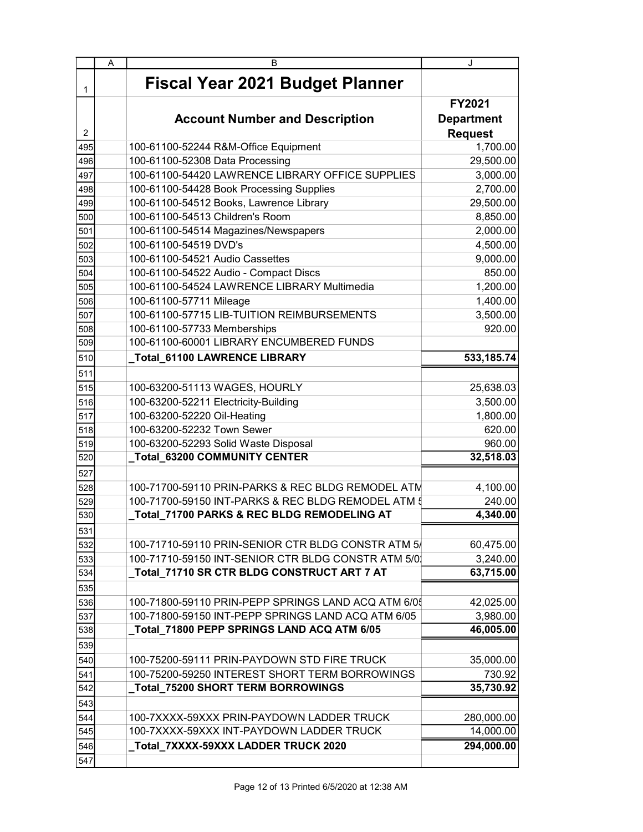| A<br>в                                                     | J                 |
|------------------------------------------------------------|-------------------|
| <b>Fiscal Year 2021 Budget Planner</b><br>1                |                   |
|                                                            | <b>FY2021</b>     |
| <b>Account Number and Description</b>                      | <b>Department</b> |
| $\overline{2}$                                             | <b>Request</b>    |
| 100-61100-52244 R&M-Office Equipment<br>495                | 1,700.00          |
| 100-61100-52308 Data Processing<br>496                     | 29,500.00         |
| 100-61100-54420 LAWRENCE LIBRARY OFFICE SUPPLIES<br>497    | 3,000.00          |
| 100-61100-54428 Book Processing Supplies<br>498            | 2,700.00          |
| 100-61100-54512 Books, Lawrence Library<br>499             | 29,500.00         |
| 100-61100-54513 Children's Room<br>500                     | 8,850.00          |
| 100-61100-54514 Magazines/Newspapers<br>501                | 2,000.00          |
| 100-61100-54519 DVD's<br>502                               | 4,500.00          |
| 100-61100-54521 Audio Cassettes<br>503                     | 9,000.00          |
| 100-61100-54522 Audio - Compact Discs<br>504               | 850.00            |
| 100-61100-54524 LAWRENCE LIBRARY Multimedia<br>505         | 1,200.00          |
| 100-61100-57711 Mileage<br>506                             | 1,400.00          |
| 100-61100-57715 LIB-TUITION REIMBURSEMENTS<br>507          | 3,500.00          |
| 100-61100-57733 Memberships<br>508                         | 920.00            |
| 100-61100-60001 LIBRARY ENCUMBERED FUNDS<br>509            |                   |
| Total_61100 LAWRENCE LIBRARY<br>510                        | 533,185.74        |
| 511                                                        |                   |
| 100-63200-51113 WAGES, HOURLY<br>515                       | 25,638.03         |
| 100-63200-52211 Electricity-Building<br>516                | 3,500.00          |
| 100-63200-52220 Oil-Heating<br>517                         | 1,800.00          |
| 100-63200-52232 Town Sewer<br>518                          | 620.00            |
| 100-63200-52293 Solid Waste Disposal<br>519                | 960.00            |
| _Total_63200 COMMUNITY CENTER<br>520                       | 32,518.03         |
| 527                                                        |                   |
| 100-71700-59110 PRIN-PARKS & REC BLDG REMODEL ATM<br>528   | 4,100.00          |
| 100-71700-59150 INT-PARKS & REC BLDG REMODEL ATM 5<br>529  | 240.00            |
| _Total_71700 PARKS & REC BLDG REMODELING AT<br>530         | 4,340.00          |
| 531                                                        |                   |
| 100-71710-59110 PRIN-SENIOR CTR BLDG CONSTR ATM 5/<br>532  | 60,475.00         |
| 100-71710-59150 INT-SENIOR CTR BLDG CONSTR ATM 5/0<br>533  | 3,240.00          |
| _Total_71710 SR CTR BLDG CONSTRUCT ART 7 AT<br>534         | 63,715.00         |
| 535                                                        |                   |
| 100-71800-59110 PRIN-PEPP SPRINGS LAND ACQ ATM 6/05<br>536 | 42,025.00         |
| 100-71800-59150 INT-PEPP SPRINGS LAND ACQ ATM 6/05<br>537  | 3,980.00          |
| Total 71800 PEPP SPRINGS LAND ACQ ATM 6/05<br>538          | 46,005.00         |
| 539                                                        |                   |
| 100-75200-59111 PRIN-PAYDOWN STD FIRE TRUCK<br>540         | 35,000.00         |
| 100-75200-59250 INTEREST SHORT TERM BORROWINGS<br>541      | 730.92            |
| _Total_75200 SHORT TERM BORROWINGS<br>542                  | 35,730.92         |
| 543                                                        |                   |
| 100-7XXXX-59XXX PRIN-PAYDOWN LADDER TRUCK<br>544           | 280,000.00        |
| 100-7XXXX-59XXX INT-PAYDOWN LADDER TRUCK<br>545            | 14,000.00         |
| Total_7XXXX-59XXX LADDER TRUCK 2020<br>546                 | 294,000.00        |
| 547                                                        |                   |